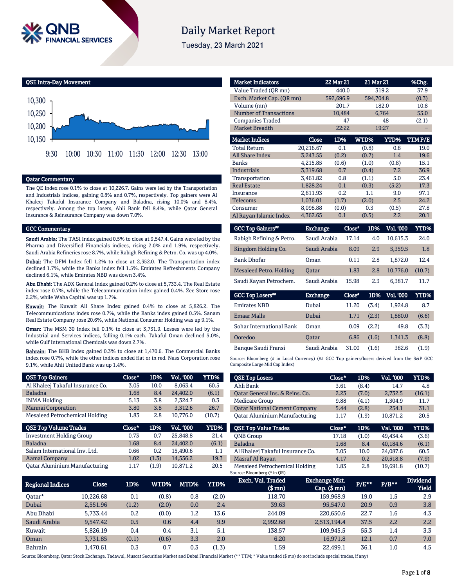

# **Daily Market Report**

Tuesday, 23 March 2021



#### Qatar Commentary

The QE Index rose 0.1% to close at 10,226.7. Gains were led by the Transportation and Industrials indices, gaining 0.8% and 0.7%, respectively. Top gainers were Al Khaleej Takaful Insurance Company and Baladna, rising 10.0% and 8.4%, respectively. Among the top losers, Ahli Bank fell 8.4%, while Qatar General Insurance & Reinsurance Company was down 7.0%.

#### GCC Commentary

Saudi Arabia: The TASI Index gained 0.5% to close at 9,547.4. Gains were led by the Pharma and Diversified Financials indices, rising 2.0% and 1.9%, respectively. Saudi Arabia Refineries rose 8.7%, while Rabigh Refining & Petro. Co. was up 4.0%.

Dubai: The DFM Index fell 1.2% to close at 2,552.0. The Transportation index declined 1.7%, while the Banks index fell 1.5%. Emirates Refreshments Company declined 6.1%, while Emirates NBD was down 3.4%.

Abu Dhabi: The ADX General Index gained 0.2% to close at 5,733.4. The Real Estate index rose 0.7%, while the Telecommunication index gained 0.4%. Zee Store rose 2.2%, while Waha Capital was up 1.7%.

Kuwait: The Kuwait All Share Index gained 0.4% to close at 5,826.2. The Telecommunications index rose 0.7%, while the Banks index gained 0.5%. Sanam Real Estate Company rose 20.6%, while National Consumer Holding was up 9.1%.

Oman: The MSM 30 Index fell 0.1% to close at 3,731.9. Losses were led by the Industrial and Services indices, falling 0.1% each. Takaful Oman declined 5.0%, while Gulf International Chemicals was down 2.7%.

Bahrain: The BHB Index gained 0.3% to close at 1,470.6. The Commercial Banks index rose 0.7%, while the other indices ended flat or in red. Nass Corporation rose 9.1%, while Ahli United Bank was up 1.4%.

| <b>QSE Top Gainers</b>           | Close* | 1D%   | <b>Vol. '000</b> | YTD%   |
|----------------------------------|--------|-------|------------------|--------|
| Al Khaleej Takaful Insurance Co. | 3.05   | 10.0  | 8,063.4          | 60.5   |
| <b>Baladna</b>                   | 1.68   | 8.4   | 24,402.0         | (6.1)  |
| <b>INMA Holding</b>              | 5.13   | 3.8   | 2.324.7          | 0.3    |
| <b>Mannai Corporation</b>        | 3.80   | 3.8   | 3,312.6          | 26.7   |
| Mesaieed Petrochemical Holding   | 1.83   | 2.8   | 10,776.0         | (10.7) |
|                                  |        |       |                  |        |
| <b>QSE Top Volume Trades</b>     | Close* | 1D%   | <b>Vol. '000</b> | YTD%   |
| <b>Investment Holding Group</b>  | 0.73   | 0.7   | 25.848.8         | 21.4   |
| <b>Baladna</b>                   | 1.68   | 8.4   | 24,402.0         | (6.1)  |
| Salam International Inv. Ltd.    | 0.66   | 0.2   | 15,490.6         | 1.1    |
| <b>Aamal Company</b>             | 1.02   | (1.3) | 14,556.2         | 19.3   |

| <b>Market Indicators</b>      |           | 22 Mar 21 | 21 Mar 21 |             | %Chg.  |
|-------------------------------|-----------|-----------|-----------|-------------|--------|
| Value Traded (OR mn)          |           | 440.0     |           | 319.2       | 37.9   |
| Exch. Market Cap. (QR mn)     |           | 592,696.9 | 594,704.8 |             | (0.3)  |
| Volume (mn)                   |           | 201.7     |           | 182.0       | 10.8   |
| <b>Number of Transactions</b> |           | 10,484    |           | 6,764       | 55.0   |
| <b>Companies Traded</b>       |           | 47        |           | 48          | (2.1)  |
| <b>Market Breadth</b>         |           | 22:22     |           | 19:27       |        |
| <b>Market Indices</b>         | Close     | 1D%       | WTD%      | <b>YTD%</b> | TTMP/E |
| <b>Total Return</b>           | 20,216.67 | 0.1       | (0.8)     | 0.8         | 19.0   |
| <b>All Share Index</b>        | 3.243.55  | (0.2)     | (0.7)     | 1.4         | 19.6   |
| <b>Banks</b>                  | 4,215.85  | (0.6)     | (1.0)     | (0.8)       | 15.1   |
| <b>Industrials</b>            | 3,319.68  | 0.7       | (0.4)     | 7.2         | 36.9   |
| Transportation                | 3.461.82  | 0.8       | (1.1)     | 5.0         | 23.4   |
| <b>Real Estate</b>            | 1,828.24  | 0.1       | (0.3)     | (5.2)       | 17.3   |
| Insurance                     | 2,611.93  | 0.2       | 1.1       | 9.0         | 97.1   |
| <b>Telecoms</b>               | 1,036.01  | (1.7)     | (2.0)     | 2.5         | 24.2   |
| Consumer                      | 8,098.88  | (0.0)     | 0.3       | (0.5)       | 27.8   |
| Al Rayan Islamic Index        | 4,362.65  | 0.1       | (0.5)     | 2.2         | 20.1   |
|                               |           |           |           |             |        |

| <b>Exchange</b> | Close" | 1D% | Vol. '000 | YTD%   |
|-----------------|--------|-----|-----------|--------|
| Saudi Arabia    | 17.14  | 4.0 | 10.615.3  | 24.0   |
| Saudi Arabia    | 8.09   | 2.9 | 5.359.5   | 1.8    |
| Oman            | 0.11   | 2.8 | 1.872.0   | 12.4   |
| <b>Oatar</b>    | 1.83   | 2.8 | 10.776.0  | (10.7) |
| Saudi Arabia    | 15.98  | 2.3 | 6.381.7   | 11.7   |
|                 |        |     |           |        |

| <b>GCC Top Losers"</b>   | <b>Exchange</b> | Close* | 1D%   | Vol. '000 | YTD%  |
|--------------------------|-----------------|--------|-------|-----------|-------|
| <b>Emirates NBD</b>      | Dubai           | 11.20  | (3.4) | 1.924.8   | 8.7   |
| <b>Emaar Malls</b>       | Dubai           | 1.71   | (2.3) | 1.880.0   | (6.6) |
| Sohar International Bank | Oman            | 0.09   | (2.2) | 49.8      | (3.3) |
| Ooredoo                  | <b>Oatar</b>    | 6.86   | (1.6) | 1,341.3   | (8.8) |
| Banque Saudi Fransi      | Saudi Arabia    | 31.00  | (1.6) | 382.6     | (1.9) |

Source: Bloomberg (# in Local Currency) (## GCC Top gainers/losers derived from the S&P GCC Composite Large Mid Cap Index)

| <b>QSE Top Losers</b>                | Close* | 1D%   | Vol. '000 | YTD%        |
|--------------------------------------|--------|-------|-----------|-------------|
| Ahli Bank                            | 3.61   | (8.4) | 14.7      | 4.8         |
| Oatar General Ins. & Reins. Co.      | 2.23   | (7.0) | 2,732.5   | (16.1)      |
| <b>Medicare Group</b>                | 9.88   | (4.1) | 1,304.9   | 11.7        |
| <b>Oatar National Cement Company</b> | 5.44   | (2.8) | 254.1     | 31.1        |
| <b>Qatar Aluminium Manufacturing</b> | 1.17   | (1.9) | 10,871.2  | 20.5        |
|                                      |        |       |           |             |
|                                      |        |       |           |             |
| <b>OSE Top Value Trades</b>          | Close* | 1D%   | Val. '000 | <b>YTD%</b> |
| <b>ONB</b> Group                     | 17.18  | (1.0) | 49.434.4  | (3.6)       |
| <b>Baladna</b>                       | 1.68   | 8.4   | 40.184.6  | (6.1)       |
| Al Khaleej Takaful Insurance Co.     | 3.05   | 10.0  | 24,087.6  | 60.5        |
| Masraf Al Rayan                      | 4.17   | 0.2   | 20,518.8  | (7.9)       |

|                  |           |       |       |         |       | Source: Bloomberg (* in QR)  |                                        |          |         |                                 |
|------------------|-----------|-------|-------|---------|-------|------------------------------|----------------------------------------|----------|---------|---------------------------------|
| Regional Indices | Close     | 1D%   | WTD%  | MTD%    | YTD%  | Exch. Val. Traded<br>(\$ mn) | <b>Exchange Mkt.</b><br>$Cap.$ (\$ mn) | $P/E***$ | $P/B**$ | <b>Dividend</b><br><b>Yield</b> |
| 0atar*           | 10,226.68 | 0.1   | (0.8) | 0.8     | (2.0) | 118.70                       | 159,968.9                              | 19.0     | 1.5     | 2.9                             |
| Dubai            | 2,551.96  | (1.2) | (2.0) | 0.0     | 2.4   | 39.63                        | 95,547.0                               | 20.9     | 0.9     | 3.8                             |
| Abu Dhabi        | 5.733.44  | 0.2   | (0.0) | $1.2\,$ | 13.6  | 244.09                       | 220,650.6                              | 22.7     | $1.6\,$ | 4.3                             |
| Saudi Arabia     | 9.547.42  | 0.5   | 0.6   | 4.4     | 9.9   | 2,992.68                     | 2,513,194.4                            | 37.5     | 2.2     | 2.2                             |
| Kuwait           | 5,826.19  | 0.4   | 0.4   | 3.1     | 5.1   | 138.57                       | 109.945.5                              | 55.3     | 1.4     | 3.3                             |
| Oman             | 3,731.85  | (0.1) | (0.6) | 3.3     | 2.0   | 6.20                         | 16,971.8                               | 12.1     | 0.7     | 7.0                             |
| Bahrain          | .470.61   | 0.3   | 0.7   | 0.3     | (1.3) | 1.59                         | 22.499.1                               | 36.1     | 1.0     | 4.5                             |

Source: Bloomberg, Qatar Stock Exchange, Tadawul, Muscat Securities Market and Dubai Financial Market (\*\* TTM; \* Value traded (\$ mn) do not include special trades, if any)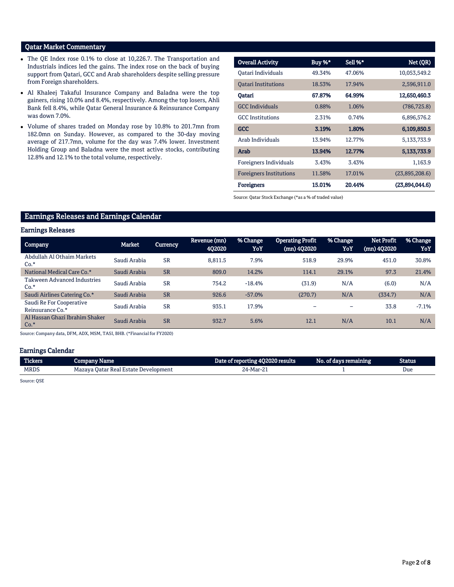# Qatar Market Commentary

- The QE Index rose 0.1% to close at 10,226.7. The Transportation and Industrials indices led the gains. The index rose on the back of buying support from Qatari, GCC and Arab shareholders despite selling pressure from Foreign shareholders.
- Al Khaleej Takaful Insurance Company and Baladna were the top gainers, rising 10.0% and 8.4%, respectively. Among the top losers, Ahli Bank fell 8.4%, while Qatar General Insurance & Reinsurance Company was down 7.0%.
- Volume of shares traded on Monday rose by 10.8% to 201.7mn from 182.0mn on Sunday. However, as compared to the 30-day moving average of 217.7mn, volume for the day was 7.4% lower. Investment Holding Group and Baladna were the most active stocks, contributing 12.8% and 12.1% to the total volume, respectively.

| <b>Overall Activity</b>        | Buy %* | Sell %* | Net (QR)       |
|--------------------------------|--------|---------|----------------|
|                                |        | 47.06%  |                |
| Oatari Individuals             | 49.34% |         | 10,053,549.2   |
| <b>Oatari Institutions</b>     | 18.53% | 17.94%  | 2,596,911.0    |
| Qatari                         | 67.87% | 64.99%  | 12,650,460.3   |
| <b>GCC</b> Individuals         | 0.88%  | 1.06%   | (786, 725.8)   |
| <b>GCC</b> Institutions        | 2.31%  | 0.74%   | 6,896,576.2    |
| <b>GCC</b>                     | 3.19%  | 1.80%   | 6,109,850.5    |
| Arab Individuals               | 13.94% | 12.77%  | 5,133,733.9    |
| Arab                           | 13.94% | 12.77%  | 5,133,733.9    |
| Foreigners Individuals         | 3.43%  | 3.43%   | 1,163.9        |
| <b>Foreigners Institutions</b> | 11.58% | 17.01%  | (23,895,208.6) |
| <b>Foreigners</b>              | 15.01% | 20.44%  | (23,894,044.6) |

Source: Qatar Stock Exchange (\*as a % of traded value)

## Earnings Releases and Earnings Calendar

#### Earnings Releases

| <b>Company</b>                               | Market       | <b>Currency</b> | Revenue (mn)<br>402020 | % Change<br>YoY | <b>Operating Profit</b><br>(mn) 402020 | % Change<br>YoY | Net Profit<br>(mn) 402020 | % Change<br>YoY |
|----------------------------------------------|--------------|-----------------|------------------------|-----------------|----------------------------------------|-----------------|---------------------------|-----------------|
| Abdullah Al Othaim Markets<br>$Co.*$         | Saudi Arabia | <b>SR</b>       | 8,811.5                | 7.9%            | 518.9                                  | 29.9%           | 451.0                     | 30.8%           |
| National Medical Care Co.*                   | Saudi Arabia | <b>SR</b>       | 809.0                  | 14.2%           | 114.1                                  | 29.1%           | 97.3                      | 21.4%           |
| <b>Takween Advanced Industries</b><br>$Co.*$ | Saudi Arabia | <b>SR</b>       | 754.2                  | $-18.4%$        | (31.9)                                 | N/A             | (6.0)                     | N/A             |
| Saudi Airlines Catering Co.*                 | Saudi Arabia | <b>SR</b>       | 926.6                  | $-57.0%$        | (270.7)                                | N/A             | (334.7)                   | N/A             |
| Saudi Re For Cooperative<br>Reinsurance Co.* | Saudi Arabia | <b>SR</b>       | 935.1                  | 17.9%           |                                        | -               | 33.8                      | $-7.1%$         |
| Al Hassan Ghazi Ibrahim Shaker<br>$Co.*$     | Saudi Arabia | <b>SR</b>       | 932.7                  | 5.6%            | 12.1                                   | N/A             | 10.1                      | N/A             |

Source: Company data, DFM, ADX, MSM, TASI, BHB. (\*Financial for FY2020)

### Earnings Calendar

| <b>Tickers</b> | Company Name                                 | Date of reporting 4Q2020 results | . No. of days remaining <b>b</b> | Status |
|----------------|----------------------------------------------|----------------------------------|----------------------------------|--------|
| <b>MRDS</b>    | Mazava Oatar Real Estate De<br>e Development | 24-Mar-21                        |                                  | Due    |

Source: QSE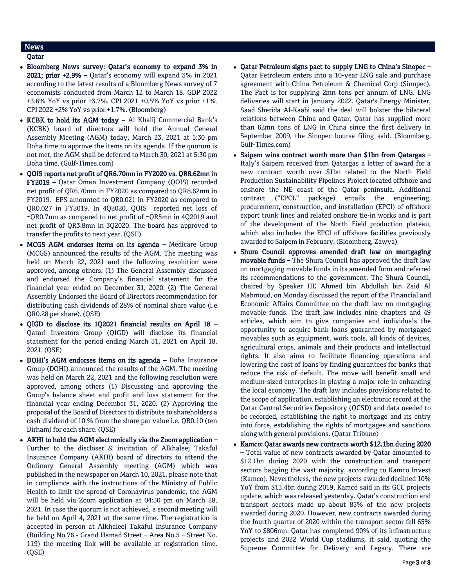# News

### Qatar

- Bloomberg News survey: Qatar's economy to expand 3% in 2021; prior +2.9% – Qatar's economy will expand 3% in 2021 according to the latest results of a Bloomberg News survey of 7 economists conducted from March 12 to March 18. GDP 2022 +3.6% YoY vs prior +3.7%. CPI 2021 +0.5% YoY vs prior +1%. CPI 2022 +2% YoY vs prior +1.7%. (Bloomberg)
- KCBK to hold its AGM today Al Khalij Commercial Bank's (KCBK) board of directors will hold the Annual General Assembly Meeting (AGM) today, March 23, 2021 at 5:30 pm Doha time to approve the items on its agenda. If the quorum is not met, the AGM shall be deferred to March 30, 2021 at 5:30 pm Doha time. (Gulf-Times.com)
- QOIS reports net profit of QR6.70mn in FY2020 vs. QR8.62mn in FY2019 – Qatar Oman Investment Company (QOIS) recorded net profit of QR6.70mn in FY2020 as compared to QR8.62mn in FY2019. EPS amounted to QR0.021 in FY2020 as compared to QR0.027 in FY2019. In 4Q2020, QOIS reported net loss of ~QR0.7mn as compared to net profit of ~QR5mn in 4Q2019 and net profit of QR3.8mn in 3Q2020. The board has approved to transfer the profits to next year. (QSE)
- MCGS AGM endorses items on its agenda Medicare Group (MCGS) announced the results of the AGM. The meeting was held on March 22, 2021 and the following resolution were approved, among others. (1) The General Assembly discussed and endorsed the Company's financial statement for the financial year ended on December 31, 2020. (2) The General Assembly Endorsed the Board of Directors recommendation for distributing cash dividends of 28% of nominal share value (i.e QR0.28 per share). (QSE)
- QIGD to disclose its 1Q2021 financial results on April 18 Qatari Investors Group (QIGD) will disclose its financial statement for the period ending March 31, 2021 on April 18, 2021. (QSE)
- DOHI's AGM endorses items on its agenda Doha Insurance Group (DOHI) announced the results of the AGM. The meeting was held on March 22, 2021 and the following resolution were approved, among others (1) Discussing and approving the Group's balance sheet and profit and loss statement for the financial year ending December 31, 2020. (2) Approving the proposal of the Board of Directors to distribute to shareholders a cash dividend of 10 % from the share par value i.e. QR0.10 (ten Dirham) for each share. (QSE)
- AKHI to hold the AGM electronically via the Zoom application Further to the discloser & invitation of Alkhaleej Takaful Insurance Company (AKHI) board of directors to attend the Ordinary General Assembly meeting (AGM) which was published in the newspaper on March 10, 2021, please note that in compliance with the instructions of the Ministry of Public Health to limit the spread of Coronavirus pandemic, the AGM will be held via Zoom application at 04:30 pm on March 28, 2021. In case the quorum is not achieved, a second meeting will be held on April 4, 2021 at the same time. The registration is accepted in person at Alkhaleej Takaful Insurance Company (Building No.76 - Grand Hamad Street – Area No.5 – Street No. 119) the meeting link will be available at registration time. (QSE)
- Qatar Petroleum signs pact to supply LNG to China's Sinopec Qatar Petroleum enters into a 10-year LNG sale and purchase agreement with China Petroleum & Chemical Corp (Sinopec). The Pact is for supplying 2mn tons per annum of LNG. LNG deliveries will start in January 2022. Qatar's Energy Minister, Saad Sherida Al-Kaabi said the deal will bolster the bilateral relations between China and Qatar. Qatar has supplied more than 62mn tons of LNG in China since the first delivery in September 2009, the Sinopec bourse filing said. (Bloomberg, Gulf-Times.com)
- Saipem wins contract worth more than \$1bn from Qatargas Italy's Saipem received from Qatargas a letter of award for a new contract worth over \$1bn related to the North Field Production Sustainability Pipelines Project located offshore and onshore the NE coast of the Qatar peninsula. Additional contract ("EPCL" package) entails the engineering, procurement, construction, and installation (EPCI) of offshore export trunk lines and related onshore tie-in works and is part of the development of the North Field production plateau, which also includes the EPCI of offshore facilities previously awarded to Saipem in February. (Bloomberg, Zawya)
- Shura Council approves amended draft law on mortgaging movable funds – The Shura Council has approved the draft law on mortgaging movable funds in its amended form and referred its recommendations to the government. The Shura Council, chaired by Speaker HE Ahmed bin Abdullah bin Zaid Al Mahmoud, on Monday discussed the report of the Financial and Economic Affairs Committee on the draft law on mortgaging movable funds. The draft law includes nine chapters and 49 articles, which aim to give companies and individuals the opportunity to acquire bank loans guaranteed by mortgaged movables such as equipment, work tools, all kinds of devices, agricultural crops, animals and their products and intellectual rights. It also aims to facilitate financing operations and lowering the cost of loans by finding guarantees for banks that reduce the risk of default. The move will benefit small and medium-sized enterprises in playing a major role in enhancing the local economy. The draft law includes provisions related to the scope of application, establishing an electronic record at the Qatar Central Securities Depository (QCSD) and data needed to be recorded, establishing the right to mortgage and its entry into force, establishing the rights of mortgagee and sanctions along with general provisions. (Qatar Tribune)
- Kamco: Qatar awards new contracts worth \$12.1bn during 2020 – Total value of new contracts awarded by Qatar amounted to \$12.1bn during 2020 with the construction and transport sectors bagging the vast majority, according to Kamco Invest (Kamco). Nevertheless, the new projects awarded declined 10% YoY from \$13.4bn during 2019, Kamco said in its GCC projects update, which was released yesterday. Qatar's construction and transport sectors made up about 85% of the new projects awarded during 2020. However, new contracts awarded during the fourth quarter of 2020 within the transport sector fell 65% YoY to \$806mn. Qatar has completed 90% of its infrastructure projects and 2022 World Cup stadiums, it said, quoting the Supreme Committee for Delivery and Legacy. There are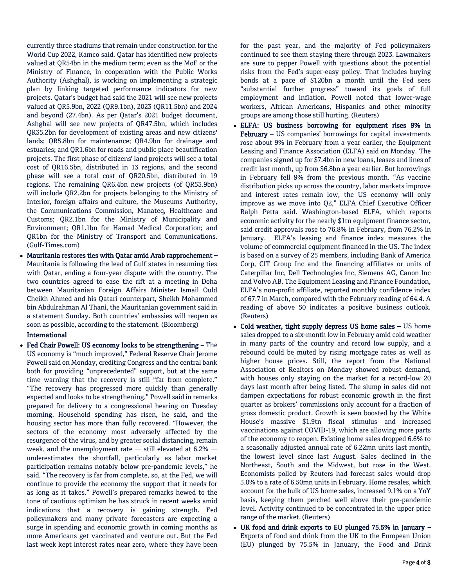currently three stadiums that remain under construction for the World Cup 2022, Kamco said. Qatar has identified new projects valued at QR54bn in the medium term; even as the MoF or the Ministry of Finance, in cooperation with the Public Works Authority (Ashghal), is working on implementing a strategic plan by linking targeted performance indicators for new projects. Qatar's budget had said the 2021 will see new projects valued at QR5.9bn, 2022 (QR9.1bn), 2023 (QR11.5bn) and 2024 and beyond (27.4bn). As per Qatar's 2021 budget document, Ashghal will see new projects of QR47.5bn, which includes QR35.2bn for development of existing areas and new citizens' lands; QR5.8bn for maintenance; QR4.9bn for drainage and estuaries; and QR1.6bn for roads and public place beautification projects. The first phase of citizens' land projects will see a total cost of QR16.5bn, distributed in 13 regions, and the second phase will see a total cost of QR20.5bn, distributed in 19 regions. The remaining QR6.4bn new projects (of QR53.9bn) will include QR2.2bn for projects belonging to the Ministry of Interior, foreign affairs and culture, the Museums Authority, the Communications Commission, Manateq, Healthcare and Customs; QR2.1bn for the Ministry of Municipality and Environment; QR1.1bn for Hamad Medical Corporation; and QR1bn for the Ministry of Transport and Communications. (Gulf-Times.com)

 Mauritania restores ties with Qatar amid Arab rapprochement – Mauritania is following the lead of Gulf states in resuming ties with Qatar, ending a four-year dispute with the country. The two countries agreed to ease the rift at a meeting in Doha between Mauritanian Foreign Affairs Minister Ismail Ould Cheikh Ahmed and his Qatari counterpart, Sheikh Mohammed bin Abdulrahman Al Thani, the Mauritanian government said in a statement Sunday. Both countries' embassies will reopen as soon as possible, according to the statement. (Bloomberg)

#### International

 Fed Chair Powell: US economy looks to be strengthening – The US economy is "much improved," Federal Reserve Chair Jerome Powell said on Monday, crediting Congress and the central bank both for providing "unprecedented" support, but at the same time warning that the recovery is still "far from complete." "The recovery has progressed more quickly than generally expected and looks to be strengthening," Powell said in remarks prepared for delivery to a congressional hearing on Tuesday morning. Household spending has risen, he said, and the housing sector has more than fully recovered. "However, the sectors of the economy most adversely affected by the resurgence of the virus, and by greater social distancing, remain weak, and the unemployment rate — still elevated at 6.2% underestimates the shortfall, particularly as labor market participation remains notably below pre-pandemic levels," he said. "The recovery is far from complete, so, at the Fed, we will continue to provide the economy the support that it needs for as long as it takes." Powell's prepared remarks hewed to the tone of cautious optimism he has struck in recent weeks amid indications that a recovery is gaining strength. Fed policymakers and many private forecasters are expecting a surge in spending and economic growth in coming months as more Americans get vaccinated and venture out. But the Fed last week kept interest rates near zero, where they have been

for the past year, and the majority of Fed policymakers continued to see them staying there through 2023. Lawmakers are sure to pepper Powell with questions about the potential risks from the Fed's super-easy policy. That includes buying bonds at a pace of \$120bn a month until the Fed sees "substantial further progress" toward its goals of full employment and inflation. Powell noted that lower-wage workers, African Americans, Hispanics and other minority groups are among those still hurting. (Reuters)

- ELFA: US business borrowing for equipment rises 9% in February - US companies' borrowings for capital investments rose about 9% in February from a year earlier, the Equipment Leasing and Finance Association (ELFA) said on Monday. The companies signed up for \$7.4bn in new loans, leases and lines of credit last month, up from \$6.8bn a year earlier. But borrowings in February fell 9% from the previous month. "As vaccine distribution picks up across the country, labor markets improve and interest rates remain low, the US economy will only improve as we move into Q2," ELFA Chief Executive Officer Ralph Petta said. Washington-based ELFA, which reports economic activity for the nearly \$1tn equipment finance sector, said credit approvals rose to 76.8% in February, from 76.2% in January. ELFA's leasing and finance index measures the volume of commercial equipment financed in the US. The index is based on a survey of 25 members, including Bank of America Corp, CIT Group Inc and the financing affiliates or units of Caterpillar Inc, Dell Technologies Inc, Siemens AG, Canon Inc and Volvo AB. The Equipment Leasing and Finance Foundation, ELFA's non-profit affiliate, reported monthly confidence index of 67.7 in March, compared with the February reading of 64.4. A reading of above 50 indicates a positive business outlook. (Reuters)
- Cold weather, tight supply depress US home sales US home sales dropped to a six-month low in February amid cold weather in many parts of the country and record low supply, and a rebound could be muted by rising mortgage rates as well as higher house prices. Still, the report from the National Association of Realtors on Monday showed robust demand, with houses only staying on the market for a record-low 20 days last month after being listed. The slump in sales did not dampen expectations for robust economic growth in the first quarter as brokers' commissions only account for a fraction of gross domestic product. Growth is seen boosted by the White House's massive \$1.9tn fiscal stimulus and increased vaccinations against COVID-19, which are allowing more parts of the economy to reopen. Existing home sales dropped 6.6% to a seasonally adjusted annual rate of 6.22mn units last month, the lowest level since last August. Sales declined in the Northeast, South and the Midwest, but rose in the West. Economists polled by Reuters had forecast sales would drop 3.0% to a rate of 6.50mn units in February. Home resales, which account for the bulk of US home sales, increased 9.1% on a YoY basis, keeping them perched well above their pre-pandemic level. Activity continued to be concentrated in the upper price range of the market. (Reuters)
- UK food and drink exports to EU plunged 75.5% in January Exports of food and drink from the UK to the European Union (EU) plunged by 75.5% in January, the Food and Drink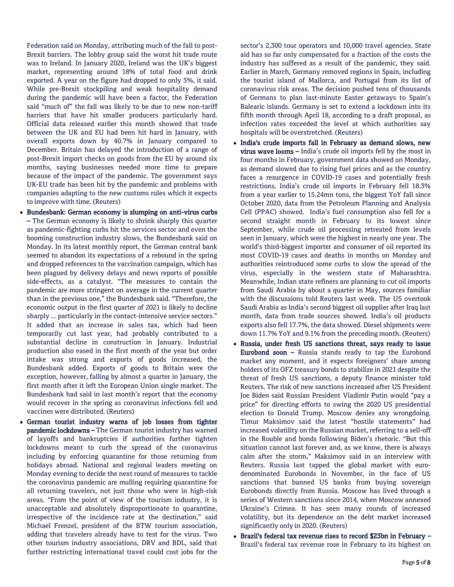Federation said on Monday, attributing much of the fall to post-Brexit barriers. The lobby group said the worst hit trade route was to Ireland. In January 2020, Ireland was the UK's biggest market, representing around 18% of total food and drink exported. A year on the figure had dropped to only 5%, it said. While pre-Brexit stockpiling and weak hospitality demand during the pandemic will have been a factor, the Federation said "much of" the fall was likely to be due to new non-tariff barriers that have hit smaller producers particularly hard. Official data released earlier this month showed that trade between the UK and EU had been hit hard in January, with overall exports down by 40.7% in January compared to December. Britain has delayed the introduction of a range of post-Brexit import checks on goods from the EU by around six months, saying businesses needed more time to prepare because of the impact of the pandemic. The government says UK-EU trade has been hit by the pandemic and problems with companies adapting to the new customs rules which it expects to improve with time. (Reuters)

- Bundesbank: German economy is slumping on anti-virus curbs – The German economy is likely to shrink sharply this quarter as pandemic-fighting curbs hit the services sector and even the booming construction industry slows, the Bundesbank said on Monday. In its latest monthly report, the German central bank seemed to abandon its expectations of a rebound in the spring and dropped references to the vaccination campaign, which has been plagued by delivery delays and news reports of possible side-effects, as a catalyst. "The measures to contain the pandemic are more stringent on average in the current quarter than in the previous one," the Bundesbank said. "Therefore, the economic output in the first quarter of 2021 is likely to decline sharply ... particularly in the contact-intensive service sectors." It added that an increase in sales tax, which had been temporarily cut last year, had probably contributed to a substantial decline in construction in January. Industrial production also eased in the first month of the year but order intake was strong and exports of goods increased, the Bundesbank added. Exports of goods to Britain were the exception, however, falling by almost a quarter in January, the first month after it left the European Union single market. The Bundesbank had said in last month's report that the economy would recover in the spring as coronavirus infections fell and vaccines were distributed. (Reuters)
- German tourist industry warns of job losses from tighter pandemic lockdowns – The German tourist industry has warned of layoffs and bankruptcies if authorities further tighten lockdowns meant to curb the spread of the coronavirus including by enforcing quarantine for those returning from holidays abroad. National and regional leaders meeting on Monday evening to decide the next round of measures to tackle the coronavirus pandemic are mulling requiring quarantine for all returning travelers, not just those who were in high-risk areas. "From the point of view of the tourism industry, it is unacceptable and absolutely disproportionate to quarantine, irrespective of the incidence rate at the destination," said Michael Frenzel, president of the BTW tourism association, adding that travelers already have to test for the virus. Two other tourism industry associations, DRV and BDL, said that further restricting international travel could cost jobs for the

sector's 2,300 tour operators and 10,000 travel agencies. State aid has so far only compensated for a fraction of the costs the industry has suffered as a result of the pandemic, they said. Earlier in March, Germany removed regions in Spain, including the tourist island of Mallorca, and Portugal from its list of coronavirus risk areas. The decision pushed tens of thousands of Germans to plan last-minute Easter getaways to Spain's Balearic islands. Germany is set to extend a lockdown into its fifth month through April 18, according to a draft proposal, as infection rates exceeded the level at which authorities say hospitals will be overstretched. (Reuters)

- India's crude imports fall in February as demand slows, new virus wave looms – India's crude oil imports fell by the most in four months in February, government data showed on Monday, as demand slowed due to rising fuel prices and as the country faces a resurgence in COVID-19 cases and potentially fresh restrictions. India's crude oil imports in February fell 18.3% from a year earlier to 15.24mn tons, the biggest YoY fall since October 2020, data from the Petroleum Planning and Analysis Cell (PPAC) showed. India's fuel consumption also fell for a second straight month in February to its lowest since September, while crude oil processing retreated from levels seen in January, which were the highest in nearly one year. The world's third-biggest importer and consumer of oil reported its most COVID-19 cases and deaths in months on Monday and authorities reintroduced some curbs to slow the spread of the virus, especially in the western state of Maharashtra. Meanwhile, Indian state refiners are planning to cut oil imports from Saudi Arabia by about a quarter in May, sources familiar with the discussions told Reuters last week. The US overtook Saudi Arabia as India's second biggest oil supplier after Iraq last month, data from trade sources showed. India's oil products exports also fell 17.7%, the data showed. Diesel shipments were down 11.7% YoY and 9.1% from the preceding month. (Reuters)
- Russia, under fresh US sanctions threat, says ready to issue **Eurobond soon –** Russia stands ready to tap the Eurobond market any moment, and it expects foreigners' share among holders of its OFZ treasury bonds to stabilize in 2021 despite the threat of fresh US sanctions, a deputy finance minister told Reuters. The risk of new sanctions increased after US President Joe Biden said Russian President Vladimir Putin would "pay a price" for directing efforts to swing the 2020 US presidential election to Donald Trump. Moscow denies any wrongdoing. Timur Maksimov said the latest "hostile statements" had increased volatility on the Russian market, referring to a sell-off in the Rouble and bonds following Biden's rhetoric. "But this situation cannot last forever and, as we know, there is always calm after the storm," Maksimov said in an interview with Reuters. Russia last tapped the global market with eurodenominated Eurobonds in November, in the face of US sanctions that banned US banks from buying sovereign Eurobonds directly from Russia. Moscow has lived through a series of Western sanctions since 2014, when Moscow annexed Ukraine's Crimea. It has seen many rounds of increased volatility, but its dependence on the debt market increased significantly only in 2020. (Reuters)
- Brazil's federal tax revenue rises to record \$23bn in February Brazil's federal tax revenue rose in February to its highest on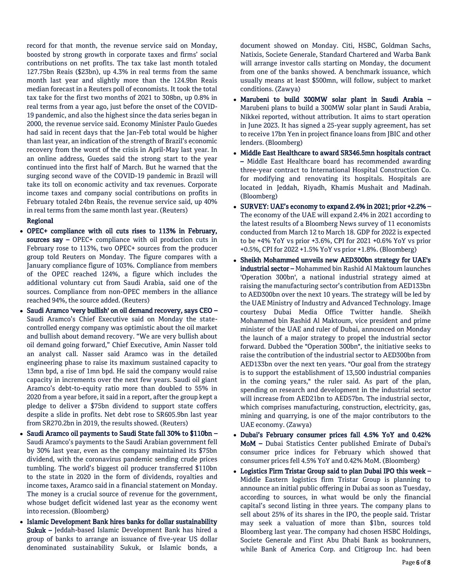record for that month, the revenue service said on Monday, boosted by strong growth in corporate taxes and firms' social contributions on net profits. The tax take last month totaled 127.75bn Reais (\$23bn), up 4.3% in real terms from the same month last year and slightly more than the 124.9bn Reais median forecast in a Reuters poll of economists. It took the total tax take for the first two months of 2021 to 308bn, up 0.8% in real terms from a year ago, just before the onset of the COVID-19 pandemic, and also the highest since the data series began in 2000, the revenue service said. Economy Minister Paulo Guedes had said in recent days that the Jan-Feb total would be higher than last year, an indication of the strength of Brazil's economic recovery from the worst of the crisis in April-May last year. In an online address, Guedes said the strong start to the year continued into the first half of March. But he warned that the surging second wave of the COVID-19 pandemic in Brazil will take its toll on economic activity and tax revenues. Corporate income taxes and company social contributions on profits in February totaled 24bn Reais, the revenue service said, up 40% in real terms from the same month last year. (Reuters)

#### Regional

- OPEC+ compliance with oil cuts rises to 113% in February, sources say - OPEC+ compliance with oil production cuts in February rose to 113%, two OPEC+ sources from the producer group told Reuters on Monday. The figure compares with a January compliance figure of 103%. Compliance from members of the OPEC reached 124%, a figure which includes the additional voluntary cut from Saudi Arabia, said one of the sources. Compliance from non-OPEC members in the alliance reached 94%, the source added. (Reuters)
- Saudi Aramco 'very bullish' on oil demand recovery, says CEO Saudi Aramco's Chief Executive said on Monday the statecontrolled energy company was optimistic about the oil market and bullish about demand recovery. "We are very bullish about oil demand going forward," Chief Executive, Amin Nasser told an analyst call. Nasser said Aramco was in the detailed engineering phase to raise its maximum sustained capacity to 13mn bpd, a rise of 1mn bpd. He said the company would raise capacity in increments over the next few years. Saudi oil giant Aramco's debt-to-equity ratio more than doubled to 55% in 2020 from a year before, it said in a report, after the group kept a pledge to deliver a \$75bn dividend to support state coffers despite a slide in profits. Net debt rose to SR605.9bn last year from SR270.2bn in 2019, the results showed. (Reuters)
- Saudi Aramco oil payments to Saudi State fall 30% to \$110bn Saudi Aramco's payments to the Saudi Arabian government fell by 30% last year, even as the company maintained its \$75bn dividend, with the coronavirus pandemic sending crude prices tumbling. The world's biggest oil producer transferred \$110bn to the state in 2020 in the form of dividends, royalties and income taxes, Aramco said in a financial statement on Monday. The money is a crucial source of revenue for the government, whose budget deficit widened last year as the economy went into recession. (Bloomberg)
- Islamic Development Bank hires banks for dollar sustainability Sukuk – Jeddah-based Islamic Development Bank has hired a group of banks to arrange an issuance of five-year US dollar denominated sustainability Sukuk, or Islamic bonds, a

document showed on Monday. Citi, HSBC, Goldman Sachs, Natixis, Societe Generale, Standard Chartered and Warba Bank will arrange investor calls starting on Monday, the document from one of the banks showed. A benchmark issuance, which usually means at least \$500mn, will follow, subject to market conditions. (Zawya)

- Marubeni to build 300MW solar plant in Saudi Arabia Marubeni plans to build a 300MW solar plant in Saudi Arabia, Nikkei reported, without attribution. It aims to start operation in June 2023. It has signed a 25-year supply agreement, has set to receive 17bn Yen in project finance loans from JBIC and other lenders. (Bloomberg)
- Middle East Healthcare to award SR346.5mn hospitals contract – Middle East Healthcare board has recommended awarding three-year contract to International Hospital Construction Co. for modifying and renovating its hospitals. Hospitals are located in Jeddah, Riyadh, Khamis Mushait and Madinah. (Bloomberg)
- SURVEY: UAE's economy to expand 2.4% in 2021; prior +2.2% The economy of the UAE will expand 2.4% in 2021 according to the latest results of a Bloomberg News survey of 11 economists conducted from March 12 to March 18. GDP for 2022 is expected to be +4% YoY vs prior +3.6%, CPI for 2021 +0.6% YoY vs prior +0.5%, CPI for 2022 +1.5% YoY vs prior +1.8%. (Bloomberg)
- Sheikh Mohammed unveils new AED300bn strategy for UAE's industrial sector – Mohammed bin Rashid Al Maktoum launches 'Operation 300bn', a national industrial strategy aimed at raising the manufacturing sector's contribution from AED133bn to AED300bn over the next 10 years. The strategy will be led by the UAE Ministry of Industry and Advanced Technology. Image courtesy Dubai Media Office Twitter handle. Sheikh Mohammed bin Rashid Al Maktoum, vice president and prime minister of the UAE and ruler of Dubai, announced on Monday the launch of a major strategy to propel the industrial sector forward. Dubbed the "Operation 300bn", the initiative seeks to raise the contribution of the industrial sector to AED300bn from AED133bn over the next ten years. "Our goal from the strategy is to support the establishment of 13,500 industrial companies in the coming years," the ruler said. As part of the plan, spending on research and development in the industrial sector will increase from AED21bn to AED57bn. The industrial sector, which comprises manufacturing, construction, electricity, gas, mining and quarrying, is one of the major contributors to the UAE economy. (Zawya)
- Dubai's February consumer prices fall 4.5% YoY and 0.42% MoM – Dubai Statistics Center published Emirate of Dubai's consumer price indices for February which showed that consumer prices fell 4.5% YoY and 0.42% MoM. (Bloomberg)
- Logistics Firm Tristar Group said to plan Dubai IPO this week Middle Eastern logistics firm Tristar Group is planning to announce an initial public offering in Dubai as soon as Tuesday, according to sources, in what would be only the financial capital's second listing in three years. The company plans to sell about 25% of its shares in the IPO, the people said. Tristar may seek a valuation of more than \$1bn, sources told Bloomberg last year. The company had chosen HSBC Holdings, Societe Generale and First Abu Dhabi Bank as bookrunners, while Bank of America Corp. and Citigroup Inc. had been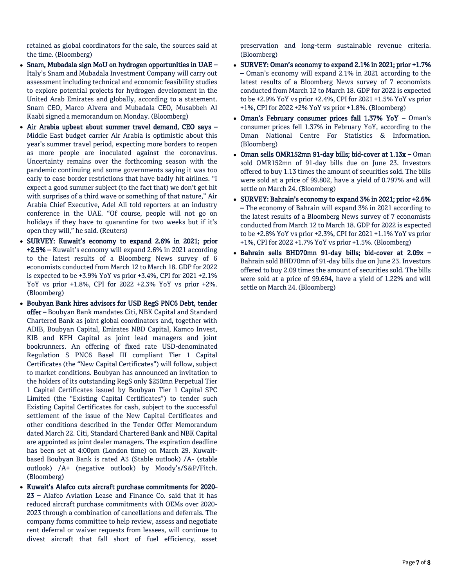retained as global coordinators for the sale, the sources said at the time. (Bloomberg)

- Snam, Mubadala sign MoU on hydrogen opportunities in UAE Italy's Snam and Mubadala Investment Company will carry out assessment including technical and economic feasibility studies to explore potential projects for hydrogen development in the United Arab Emirates and globally, according to a statement. Snam CEO, Marco Alvera and Mubadala CEO, Musabbeh Al Kaabi signed a memorandum on Monday. (Bloomberg)
- Air Arabia upbeat about summer travel demand, CEO says Middle East budget carrier Air Arabia is optimistic about this year's summer travel period, expecting more borders to reopen as more people are inoculated against the coronavirus. Uncertainty remains over the forthcoming season with the pandemic continuing and some governments saying it was too early to ease border restrictions that have badly hit airlines. "I expect a good summer subject (to the fact that) we don't get hit with surprises of a third wave or something of that nature," Air Arabia Chief Executive, Adel Ali told reporters at an industry conference in the UAE. "Of course, people will not go on holidays if they have to quarantine for two weeks but if it's open they will," he said. (Reuters)
- SURVEY: Kuwait's economy to expand 2.6% in 2021; prior +2.5% – Kuwait's economy will expand 2.6% in 2021 according to the latest results of a Bloomberg News survey of 6 economists conducted from March 12 to March 18. GDP for 2022 is expected to be +3.9% YoY vs prior +3.4%, CPI for 2021 +2.1% YoY vs prior +1.8%, CPI for 2022 +2.3% YoY vs prior +2%. (Bloomberg)
- Boubyan Bank hires advisors for USD RegS PNC6 Debt, tender offer – Boubyan Bank mandates Citi, NBK Capital and Standard Chartered Bank as joint global coordinators and, together with ADIB, Boubyan Capital, Emirates NBD Capital, Kamco Invest, KIB and KFH Capital as joint lead managers and joint bookrunners. An offering of fixed rate USD-denominated Regulation S PNC6 Basel III compliant Tier 1 Capital Certificates (the "New Capital Certificates") will follow, subject to market conditions. Boubyan has announced an invitation to the holders of its outstanding RegS only \$250mn Perpetual Tier 1 Capital Certificates issued by Boubyan Tier 1 Capital SPC Limited (the "Existing Capital Certificates") to tender such Existing Capital Certificates for cash, subject to the successful settlement of the issue of the New Capital Certificates and other conditions described in the Tender Offer Memorandum dated March 22. Citi, Standard Chartered Bank and NBK Capital are appointed as joint dealer managers. The expiration deadline has been set at 4:00pm (London time) on March 29. Kuwaitbased Boubyan Bank is rated A3 (Stable outlook) /A- (stable outlook) /A+ (negative outlook) by Moody's/S&P/Fitch. (Bloomberg)
- Kuwait's Alafco cuts aircraft purchase commitments for 2020- 23 – Alafco Aviation Lease and Finance Co. said that it has reduced aircraft purchase commitments with OEMs over 2020- 2023 through a combination of cancellations and deferrals. The company forms committee to help review, assess and negotiate rent deferral or waiver requests from lessees, will continue to divest aircraft that fall short of fuel efficiency, asset

preservation and long-term sustainable revenue criteria. (Bloomberg)

- SURVEY: Oman's economy to expand 2.1% in 2021; prior +1.7% – Oman's economy will expand 2.1% in 2021 according to the latest results of a Bloomberg News survey of 7 economists conducted from March 12 to March 18. GDP for 2022 is expected to be +2.9% YoY vs prior +2.4%, CPI for 2021 +1.5% YoY vs prior +1%, CPI for 2022 +2% YoY vs prior +1.8%. (Bloomberg)
- Oman's February consumer prices fall 1.37% YoY Oman's consumer prices fell 1.37% in February YoY, according to the Oman National Centre For Statistics & Information. (Bloomberg)
- Oman sells OMR152mn 91-day bills; bid-cover at 1.13x Oman sold OMR152mn of 91-day bills due on June 23. Investors offered to buy 1.13 times the amount of securities sold. The bills were sold at a price of 99.802, have a yield of 0.797% and will settle on March 24. (Bloomberg)
- SURVEY: Bahrain's economy to expand 3% in 2021; prior +2.6% – The economy of Bahrain will expand 3% in 2021 according to the latest results of a Bloomberg News survey of 7 economists conducted from March 12 to March 18. GDP for 2022 is expected to be +2.8% YoY vs prior +2.3%, CPI for 2021 +1.1% YoY vs prior +1%, CPI for 2022 +1.7% YoY vs prior +1.5%. (Bloomberg)
- Bahrain sells BHD70mn 91-day bills; bid-cover at 2.09x Bahrain sold BHD70mn of 91-day bills due on June 23. Investors offered to buy 2.09 times the amount of securities sold. The bills were sold at a price of 99.694, have a yield of 1.22% and will settle on March 24. (Bloomberg)